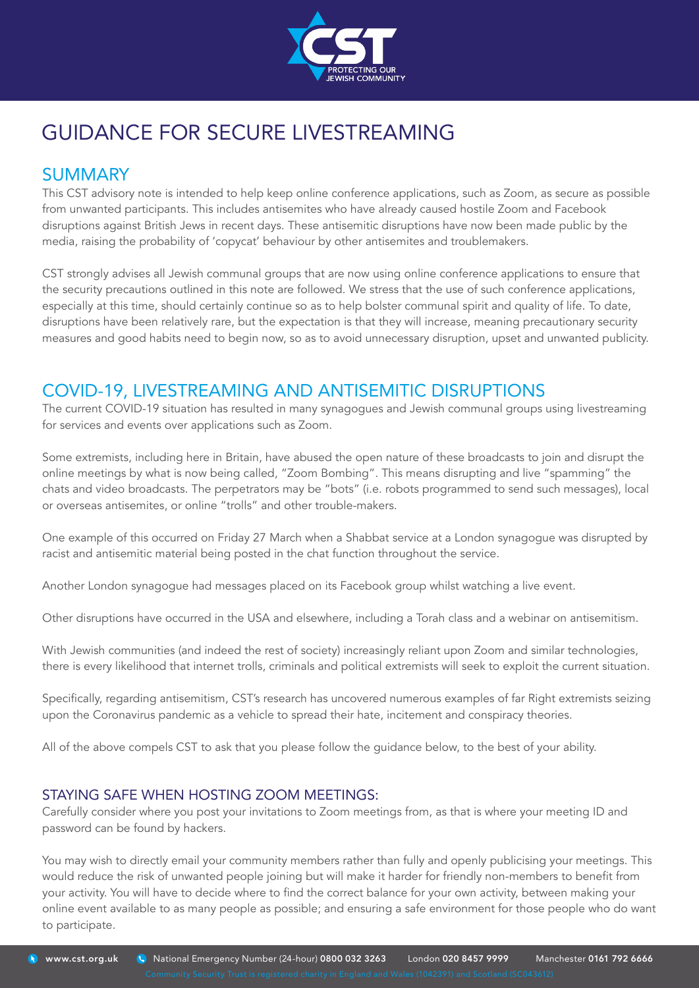

# GUIDANCE FOR SECURE LIVESTREAMING

## **SUMMARY**

This CST advisory note is intended to help keep online conference applications, such as Zoom, as secure as possible from unwanted participants. This includes antisemites who have already caused hostile Zoom and Facebook disruptions against British Jews in recent days. These antisemitic disruptions have now been made public by the media, raising the probability of 'copycat' behaviour by other antisemites and troublemakers.

CST strongly advises all Jewish communal groups that are now using online conference applications to ensure that the security precautions outlined in this note are followed. We stress that the use of such conference applications, especially at this time, should certainly continue so as to help bolster communal spirit and quality of life. To date, disruptions have been relatively rare, but the expectation is that they will increase, meaning precautionary security measures and good habits need to begin now, so as to avoid unnecessary disruption, upset and unwanted publicity.

# COVID-19, LIVESTREAMING AND ANTISEMITIC DISRUPTIONS

The current COVID-19 situation has resulted in many synagogues and Jewish communal groups using livestreaming for services and events over applications such as Zoom.

Some extremists, including here in Britain, have abused the open nature of these broadcasts to join and disrupt the online meetings by what is now being called, "Zoom Bombing". This means disrupting and live "spamming" the chats and video broadcasts. The perpetrators may be "bots" (i.e. robots programmed to send such messages), local or overseas antisemites, or online "trolls" and other trouble-makers.

One example of this occurred on Friday 27 March when a Shabbat service at a London synagogue was disrupted by racist and antisemitic material being posted in the chat function throughout the service.

Another London synagogue had messages placed on its Facebook group whilst watching a live event.

Other disruptions have occurred in the USA and elsewhere, including a Torah class and a webinar on antisemitism.

With Jewish communities (and indeed the rest of society) increasingly reliant upon Zoom and similar technologies, there is every likelihood that internet trolls, criminals and political extremists will seek to exploit the current situation.

Specifically, regarding antisemitism, CST's research has uncovered numerous examples of far Right extremists seizing upon the Coronavirus pandemic as a vehicle to spread their hate, incitement and conspiracy theories.

All of the above compels CST to ask that you please follow the guidance below, to the best of your ability.

#### STAYING SAFE WHEN HOSTING ZOOM MEETINGS:

Carefully consider where you post your invitations to Zoom meetings from, as that is where your meeting ID and password can be found by hackers.

You may wish to directly email your community members rather than fully and openly publicising your meetings. This would reduce the risk of unwanted people joining but will make it harder for friendly non-members to benefit from your activity. You will have to decide where to find the correct balance for your own activity, between making your online event available to as many people as possible; and ensuring a safe environment for those people who do want to participate.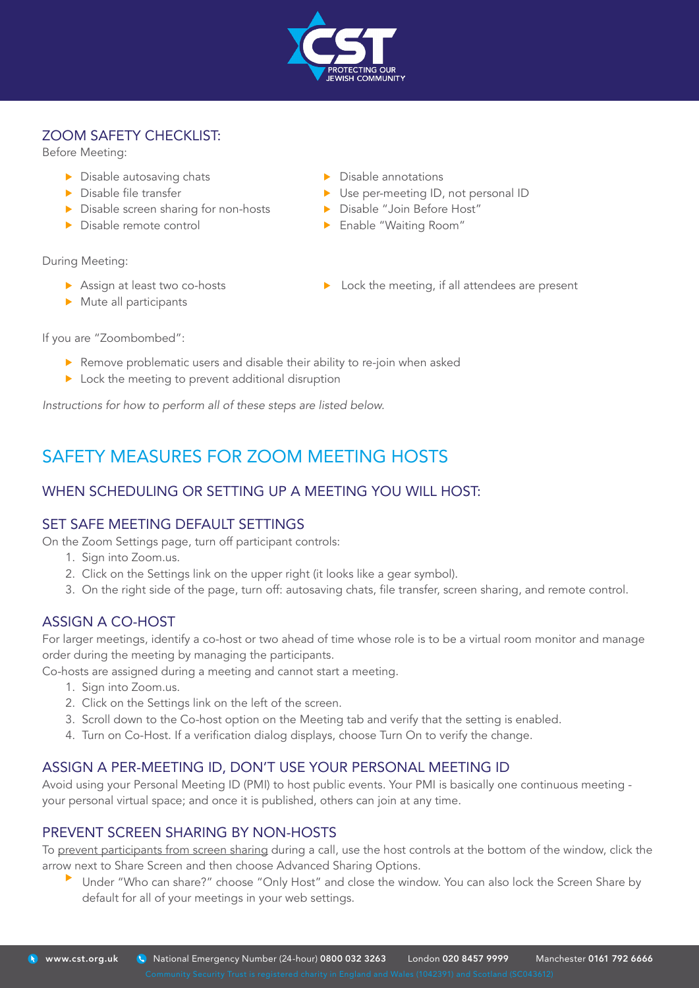

#### ZOOM SAFETY CHECKLIST:

Before Meeting:

- ▶ Disable autosaving chats
- **Disable file transfer**
- Disable screen sharing for non-hosts
- Disable remote control

- During Meeting:
	- Assign at least two co-hosts  $\triangleright$  Mute all participants
- ▶ Disable annotations
- ▶ Use per-meeting ID, not personal ID
- **Disable "Join Before Host"**
- **Enable "Waiting Room"**
- $\triangleright$  Lock the meeting, if all attendees are present

If you are "Zoombombed":

- **•** Remove problematic users and disable their ability to re-join when asked
- **Lock the meeting to prevent additional disruption**

*Instructions for how to perform all of these steps are listed below.*

# SAFETY MEASURES FOR ZOOM MEETING HOSTS

### WHEN SCHEDULING OR SETTING UP A MEETING YOU WILL HOST:

#### SET SAFE MEETING DEFAULT SETTINGS

On the Zoom Settings page, turn off participant controls:

- 1. Sign into Zoom.us.
- 2. Click on the Settings link on the upper right (it looks like a gear symbol).
- 3. On the right side of the page, turn off: autosaving chats, file transfer, screen sharing, and remote control.

#### ASSIGN A CO-HOST

For larger meetings, identify a co-host or two ahead of time whose role is to be a virtual room monitor and manage order during the meeting by managing the participants.

Co-hosts are assigned during a meeting and cannot start a meeting.

- 1. Sign into Zoom.us.
- 2. Click on the Settings link on the left of the screen.
- 3. Scroll down to the Co-host option on the Meeting tab and verify that the setting is enabled.
- 4. Turn on Co-Host. If a verification dialog displays, choose Turn On to verify the change.

#### ASSIGN A PER-MEETING ID, DON'T USE YOUR PERSONAL MEETING ID

Avoid using your Personal Meeting ID (PMI) to host public events. Your PMI is basically one continuous meeting your personal virtual space; and once it is published, others can join at any time.

#### PREVENT SCREEN SHARING BY NON-HOSTS

To prevent participants from screen sharing during a call, use the host controls at the bottom of the window, click the arrow next to Share Screen and then choose Advanced Sharing Options.

Under "Who can share?" choose "Only Host" and close the window. You can also lock the Screen Share by default for all of your meetings in your web settings.